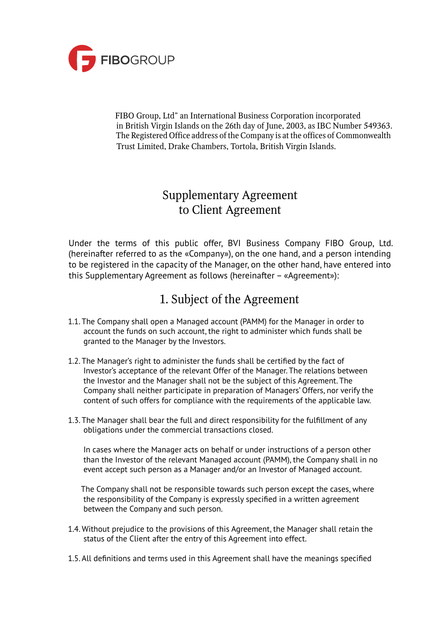

 FIBO Group, Ltd" an International Business Corporation incorporated in British Virgin Islands on the 26th day of June, 2003, as IBC Number 549363. The Registered Office address of the Company is at the offices of Commonwealth Trust Limited, Drake Chambers, Tortola, British Virgin Islands.

#### Supplementary Agreement to Client Agreement

Under the terms of this public offer, BVI Business Company FIBO Group, Ltd. (hereinafter referred to as the «Company»), on the one hand, and a person intending to be registered in the capacity of the Manager, on the other hand, have entered into this Supplementary Agreement as follows (hereinafter – «Agreement»):

## 1. Subject of the Agreement

- 1.1. The Company shall open a Managed account (PAMM) for the Manager in order to account the funds on such account, the right to administer which funds shall be granted to the Manager by the Investors.
- 1.2. The Manager's right to administer the funds shall be certified by the fact of Investor's acceptance of the relevant Offer of the Manager. The relations between the Investor and the Manager shall not be the subject of this Agreement. The Company shall neither participate in preparation of Managers' Offers, nor verify the content of such offers for compliance with the requirements of the applicable law.
- 1.3. The Manager shall bear the full and direct responsibility for the fulfillment of any obligations under the commercial transactions closed.

 In cases where the Manager acts on behalf or under instructions of a person other than the Investor of the relevant Managed account (PAMM), the Company shall in no event accept such person as a Manager and/or an Investor of Managed account.

 The Company shall not be responsible towards such person except the cases, where the responsibility of the Company is expressly specified in a written agreement between the Company and such person.

- 1.4. Without prejudice to the provisions of this Agreement, the Manager shall retain the status of the Client after the entry of this Agreement into effect.
- 1.5. All definitions and terms used in this Agreement shall have the meanings specified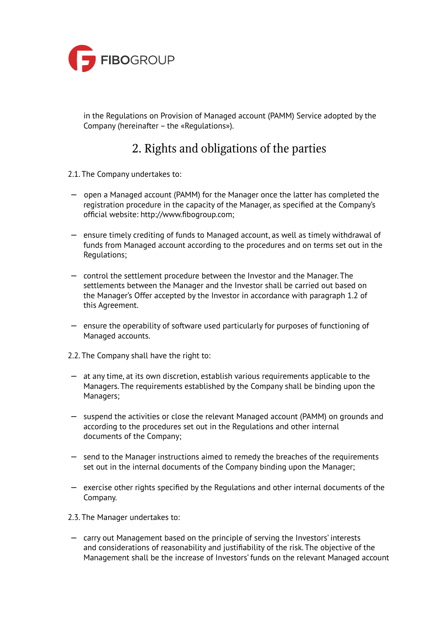

 in the Regulations on Provision of Managed account (PAMM) Service adopted by the Company (hereinafter – the «Regulations»).

# 2. Rights and obligations of the parties

- 2.1. The Company undertakes to:
- open a Managed account (PAMM) for the Manager once the latter has completed the registration procedure in the capacity of the Manager, as specified at the Company's official website: http://www.fibogroup.com;
- ensure timely crediting of funds to Managed account, as well as timely withdrawal of funds from Managed account according to the procedures and on terms set out in the Regulations;
- control the settlement procedure between the Investor and the Manager. The settlements between the Manager and the Investor shall be carried out based on the Manager's Offer accepted by the Investor in accordance with paragraph 1.2 of this Agreement.
- ensure the operability of software used particularly for purposes of functioning of Managed accounts.
- 2.2. The Company shall have the right to:
- at any time, at its own discretion, establish various requirements applicable to the Managers. The requirements established by the Company shall be binding upon the Managers;
- suspend the activities or close the relevant Managed account (PAMM) on grounds and according to the procedures set out in the Regulations and other internal documents of the Company;
- send to the Manager instructions aimed to remedy the breaches of the requirements set out in the internal documents of the Company binding upon the Manager;
- exercise other rights specified by the Regulations and other internal documents of the Company.
- 2.3. The Manager undertakes to:
- carry out Management based on the principle of serving the Investors' interests and considerations of reasonability and justifiability of the risk. The objective of the Management shall be the increase of Investors' funds on the relevant Managed account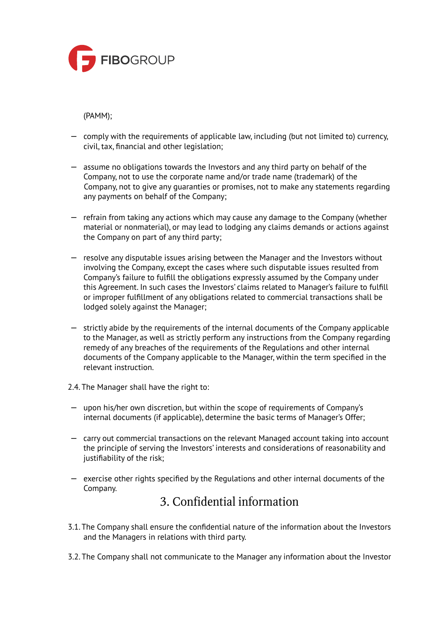

(PAMM);

- comply with the requirements of applicable law, including (but not limited to) currency, civil, tax, financial and other legislation;
- assume no obligations towards the Investors and any third party on behalf of the Company, not to use the corporate name and/or trade name (trademark) of the Company, not to give any guaranties or promises, not to make any statements regarding any payments on behalf of the Company;
- refrain from taking any actions which may cause any damage to the Company (whether material or nonmaterial), or may lead to lodging any claims demands or actions against the Company on part of any third party;
- resolve any disputable issues arising between the Manager and the Investors without involving the Company, except the cases where such disputable issues resulted from Company's failure to fulfill the obligations expressly assumed by the Company under this Agreement. In such cases the Investors' claims related to Manager's failure to fulfill or improper fulfillment of any obligations related to commercial transactions shall be lodged solely against the Manager;
- strictly abide by the requirements of the internal documents of the Company applicable to the Manager, as well as strictly perform any instructions from the Company regarding remedy of any breaches of the requirements of the Regulations and other internal documents of the Company applicable to the Manager, within the term specified in the relevant instruction.
- 2.4. The Manager shall have the right to:
- upon his/her own discretion, but within the scope of requirements of Company's internal documents (if applicable), determine the basic terms of Manager's Offer;
- carry out commercial transactions on the relevant Managed account taking into account the principle of serving the Investors' interests and considerations of reasonability and justifiability of the risk;
- exercise other rights specified by the Regulations and other internal documents of the Company.

## 3. Confidential information

- 3.1. The Company shall ensure the confidential nature of the information about the Investors and the Managers in relations with third party.
- 3.2. The Company shall not communicate to the Manager any information about the Investor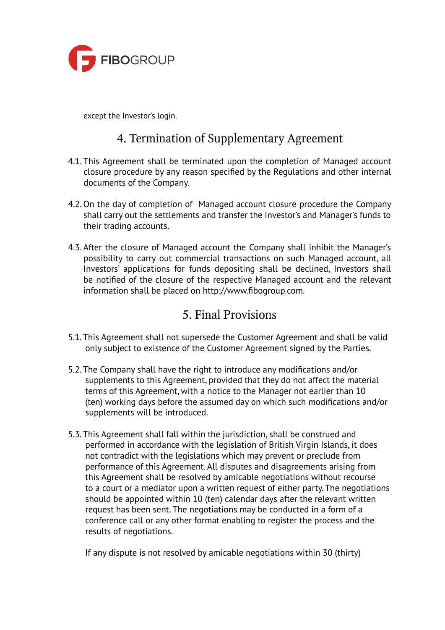

except the Investor's login.

## 4. Termination of Supplementary Agreement

- 4.1. This Agreement shall be terminated upon the completion of Managed account closure procedure by any reason specified by the Regulations and other internal documents of the Company.
- 4.2. On the day of completion of Managed account closure procedure the Company shall carry out the settlements and transfer the Investor's and Manager's funds to their trading accounts.
- 4.3. After the closure of Managed account the Company shall inhibit the Manager's possibility to carry out commercial transactions on such Managed account, all Investors' applications for funds depositing shall be declined, Investors shall be notified of the closure of the respective Managed account and the relevant information shall be placed on http://www.fibogroup.com.

#### 5. Final Provisions

- 5.1. This Agreement shall not supersede the Customer Agreement and shall be valid only subject to existence of the Customer Agreement signed by the Parties.
- 5.2. The Company shall have the right to introduce any modifications and/or supplements to this Agreement, provided that they do not affect the material terms of this Agreement, with a notice to the Manager not earlier than 10 (ten) working days before the assumed day on which such modifications and/or supplements will be introduced.
- 5.3. This Agreement shall fall within the jurisdiction, shall be construed and performed in accordance with the legislation of British Virgin Islands, it does not contradict with the legislations which may prevent or preclude from performance of this Agreement. All disputes and disagreements arising from this Agreement shall be resolved by amicable negotiations without recourse to a court or a mediator upon a written request of either party. The negotiations should be appointed within 10 (ten) calendar days after the relevant written request has been sent. The negotiations may be conducted in a form of a conference call or any other format enabling to register the process and the results of negotiations.

If any dispute is not resolved by amicable negotiations within 30 (thirty)